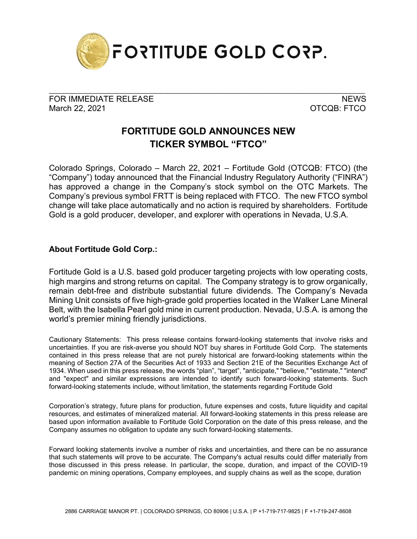

FOR IMMEDIATE RELEASE NEWS ARE A SERIES OF A SERIES OF A SERIES OF A SERIES OF A SERIES OF A SERIES OF A SERIES March 22, 2021 **OTCQB: FTCO** 

\_\_\_\_\_\_\_\_\_\_\_\_\_\_\_\_\_\_\_\_\_\_\_\_\_\_\_\_\_\_\_\_\_\_\_\_\_\_\_\_\_\_\_\_\_\_\_\_\_\_\_\_\_\_\_\_\_\_\_\_\_\_\_\_\_\_\_\_\_\_\_\_\_\_\_\_\_\_\_\_\_\_\_\_\_

## **FORTITUDE GOLD ANNOUNCES NEW TICKER SYMBOL "FTCO"**

Colorado Springs, Colorado – March 22, 2021 – Fortitude Gold (OTCQB: FTCO) (the "Company") today announced that the Financial Industry Regulatory Authority ("FINRA") has approved a change in the Company's stock symbol on the OTC Markets. The Company's previous symbol FRTT is being replaced with FTCO. The new FTCO symbol change will take place automatically and no action is required by shareholders. Fortitude Gold is a gold producer, developer, and explorer with operations in Nevada, U.S.A.

## **About Fortitude Gold Corp.:**

Fortitude Gold is a U.S. based gold producer targeting projects with low operating costs, high margins and strong returns on capital. The Company strategy is to grow organically, remain debt-free and distribute substantial future dividends. The Company's Nevada Mining Unit consists of five high-grade gold properties located in the Walker Lane Mineral Belt, with the Isabella Pearl gold mine in current production. Nevada, U.S.A. is among the world's premier mining friendly jurisdictions.

Cautionary Statements: This press release contains forward-looking statements that involve risks and uncertainties. If you are risk-averse you should NOT buy shares in Fortitude Gold Corp. The statements contained in this press release that are not purely historical are forward-looking statements within the meaning of Section 27A of the Securities Act of 1933 and Section 21E of the Securities Exchange Act of 1934. When used in this press release, the words "plan", "target", "anticipate," "believe," "estimate," "intend" and "expect" and similar expressions are intended to identify such forward-looking statements. Such forward-looking statements include, without limitation, the statements regarding Fortitude Gold

Corporation's strategy, future plans for production, future expenses and costs, future liquidity and capital resources, and estimates of mineralized material. All forward-looking statements in this press release are based upon information available to Fortitude Gold Corporation on the date of this press release, and the Company assumes no obligation to update any such forward-looking statements.

Forward looking statements involve a number of risks and uncertainties, and there can be no assurance that such statements will prove to be accurate. The Company's actual results could differ materially from those discussed in this press release. In particular, the scope, duration, and impact of the COVID-19 pandemic on mining operations, Company employees, and supply chains as well as the scope, duration